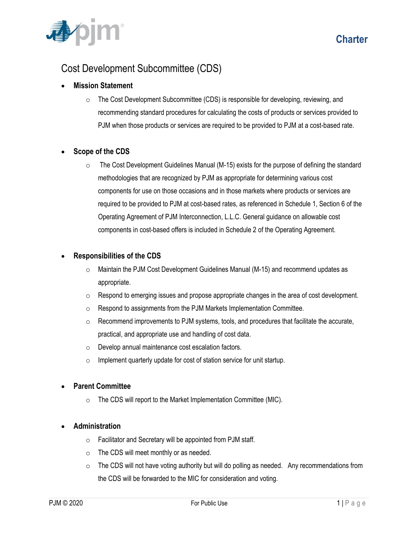

# Cost Development Subcommittee (CDS)

# **Mission Statement**

 $\circ$  The Cost Development Subcommittee (CDS) is responsible for developing, reviewing, and recommending standard procedures for calculating the costs of products or services provided to PJM when those products or services are required to be provided to PJM at a cost-based rate.

## **Scope of the CDS**

 $\circ$  The Cost Development Guidelines Manual (M-15) exists for the purpose of defining the standard methodologies that are recognized by PJM as appropriate for determining various cost components for use on those occasions and in those markets where products or services are required to be provided to PJM at cost-based rates, as referenced in Schedule 1, Section 6 of the Operating Agreement of PJM Interconnection, L.L.C. General guidance on allowable cost components in cost-based offers is included in Schedule 2 of the Operating Agreement.

## **Responsibilities of the CDS**

- o Maintain the PJM Cost Development Guidelines Manual (M-15) and recommend updates as appropriate.
- o Respond to emerging issues and propose appropriate changes in the area of cost development.
- o Respond to assignments from the PJM Markets Implementation Committee.
- $\circ$  Recommend improvements to PJM systems, tools, and procedures that facilitate the accurate, practical, and appropriate use and handling of cost data.
- o Develop annual maintenance cost escalation factors.
- $\circ$  Implement quarterly update for cost of station service for unit startup.

## **Parent Committee**

 $\circ$  The CDS will report to the Market Implementation Committee (MIC).

### **Administration**

- $\circ$  Facilitator and Secretary will be appointed from PJM staff.
- o The CDS will meet monthly or as needed.
- $\circ$  The CDS will not have voting authority but will do polling as needed. Any recommendations from the CDS will be forwarded to the MIC for consideration and voting.